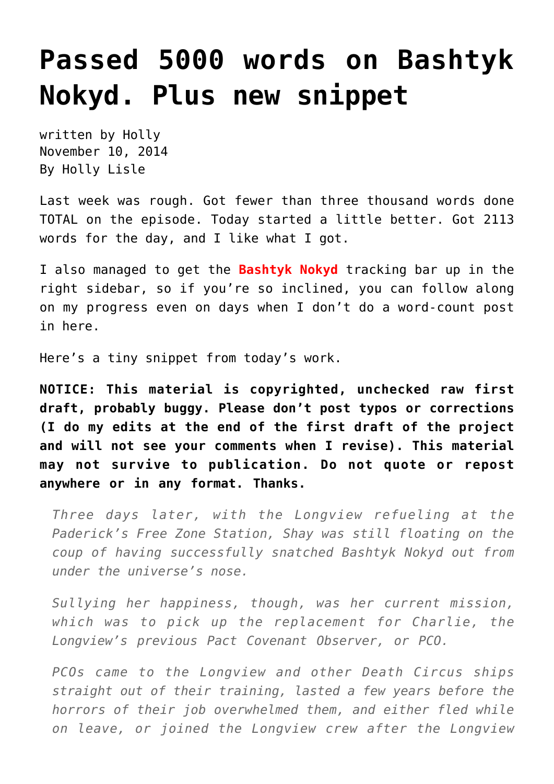## **[Passed 5000 words on Bashtyk](https://hollylisle.com/passed-5000-words-on-bashtyk-nokyd-plus-new-snippet/) [Nokyd. Plus new snippet](https://hollylisle.com/passed-5000-words-on-bashtyk-nokyd-plus-new-snippet/)**

written by Holly November 10, 2014 [By Holly Lisle](https://hollylisle.com)

Last week was rough. Got fewer than three thousand words done TOTAL on the episode. Today started a little better. Got 2113 words for the day, and I like what I got.

I also managed to get the **Bashtyk Nokyd** tracking bar up in the right sidebar, so if you're so inclined, you can follow along on my progress even on days when I don't do a word-count post in here.

Here's a tiny snippet from today's work.

**NOTICE: This material is copyrighted, unchecked raw first draft, probably buggy. Please don't post typos or corrections (I do my edits at the end of the first draft of the project and will not see your comments when I revise). This material may not survive to publication. Do not quote or repost anywhere or in any format. Thanks.**

*Three days later, with the Longview refueling at the Paderick's Free Zone Station, Shay was still floating on the coup of having successfully snatched Bashtyk Nokyd out from under the universe's nose.*

*Sullying her happiness, though, was her current mission, which was to pick up the replacement for Charlie, the Longview's previous Pact Covenant Observer, or PCO.*

*PCOs came to the Longview and other Death Circus ships straight out of their training, lasted a few years before the horrors of their job overwhelmed them, and either fled while on leave, or joined the Longview crew after the Longview*